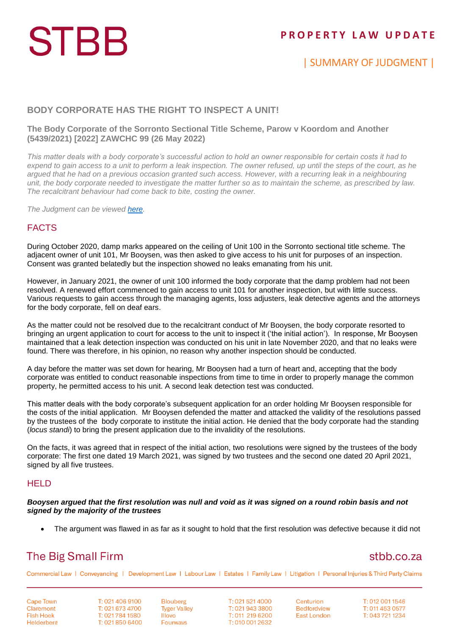## **STBB**

## **P R O P E R T Y L A W U P D A T E**

| SUMMARY OF JUDGMENT |

#### **BODY CORPORATE HAS THE RIGHT TO INSPECT A UNIT!**

#### **The Body Corporate of the Sorronto Sectional Title Scheme, Parow v Koordom and Another (5439/2021) [2022] ZAWCHC 99 (26 May 2022)**

*This matter deals with a body corporate's successful action to hold an owner responsible for certain costs it had to expend to gain access to a unit to perform a leak inspection. The owner refused, up until the steps of the court, as he argued that he had on a previous occasion granted such access. However, with a recurring leak in a neighbouring unit, the body corporate needed to investigate the matter further so as to maintain the scheme, as prescribed by law. The recalcitrant behaviour had come back to bite, costing the owner.*

*The Judgment can be viewed [here.](http://www.saflii.org/za/cases/ZAWCHC/2022/99.html)*

#### FACTS

During October 2020, damp marks appeared on the ceiling of Unit 100 in the Sorronto sectional title scheme. The adjacent owner of unit 101, Mr Booysen, was then asked to give access to his unit for purposes of an inspection. Consent was granted belatedly but the inspection showed no leaks emanating from his unit.

However, in January 2021, the owner of unit 100 informed the body corporate that the damp problem had not been resolved. A renewed effort commenced to gain access to unit 101 for another inspection, but with little success. Various requests to gain access through the managing agents, loss adjusters, leak detective agents and the attorneys for the body corporate, fell on deaf ears.

As the matter could not be resolved due to the recalcitrant conduct of Mr Booysen, the body corporate resorted to bringing an urgent application to court for access to the unit to inspect it ('the initial action'). In response, Mr Booysen maintained that a leak detection inspection was conducted on his unit in late November 2020, and that no leaks were found. There was therefore, in his opinion, no reason why another inspection should be conducted.

A day before the matter was set down for hearing, Mr Booysen had a turn of heart and, accepting that the body corporate was entitled to conduct reasonable inspections from time to time in order to properly manage the common property, he permitted access to his unit. A second leak detection test was conducted.

This matter deals with the body corporate's subsequent application for an order holding Mr Booysen responsible for the costs of the initial application. Mr Booysen defended the matter and attacked the validity of the resolutions passed by the trustees of the body corporate to institute the initial action. He denied that the body corporate had the standing (*locus standi*) to bring the present application due to the invalidity of the resolutions.

On the facts, it was agreed that in respect of the initial action, two resolutions were signed by the trustees of the body corporate: The first one dated 19 March 2021, was signed by two trustees and the second one dated 20 April 2021, signed by all five trustees.

#### **HELD**

*Booysen argued that the first resolution was null and void as it was signed on a round robin basis and not signed by the majority of the trustees*

The argument was flawed in as far as it sought to hold that the first resolution was defective because it did not

## **The Big Small Firm**

### stbb.co.za

Commercial Law | Conveyancing | Development Law | Labour Law | Estates | Family Law | Litigation | Personal Injuries & Third Party Claims

**Cape Town** Claremont **Fish Hoek** Helderberg T: 021 406 9100 T: 021 673 4700 T: 021 784 1580 T: 021 850 6400

**Blouberg Tyger Valley** Illovo **Fourways** 

T: 021 521 4000 T: 021 943 3800 T: 011 219 6200 T: 010 001 2632

Centurion **Bedfordview East London** 

T: 012 001 1546 T: 011 453 0577 T: 043 721 1234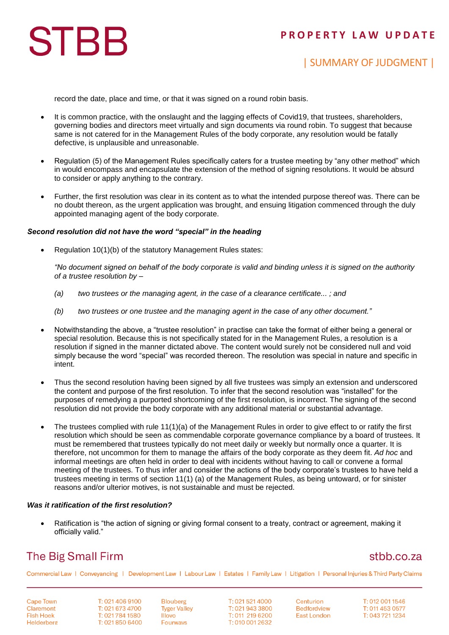## **P R O P E R T Y L A W U P D A T E**

# **STBB**

## | SUMMARY OF JUDGMENT |

record the date, place and time, or that it was signed on a round robin basis.

- It is common practice, with the onslaught and the lagging effects of Covid19, that trustees, shareholders, governing bodies and directors meet virtually and sign documents via round robin. To suggest that because same is not catered for in the Management Rules of the body corporate, any resolution would be fatally defective, is unplausible and unreasonable.
- Regulation (5) of the Management Rules specifically caters for a trustee meeting by "any other method" which in would encompass and encapsulate the extension of the method of signing resolutions. It would be absurd to consider or apply anything to the contrary.
- Further, the first resolution was clear in its content as to what the intended purpose thereof was. There can be no doubt thereon, as the urgent application was brought, and ensuing litigation commenced through the duly appointed managing agent of the body corporate.

#### *Second resolution did not have the word "special" in the heading*

Regulation 10(1)(b) of the statutory Management Rules states:

*"No document signed on behalf of the body corporate is valid and binding unless it is signed on the authority of a trustee resolution by –*

- *(a) two trustees or the managing agent, in the case of a clearance certificate... ; and*
- *(b) two trustees or one trustee and the managing agent in the case of any other document."*
- Notwithstanding the above, a "trustee resolution" in practise can take the format of either being a general or special resolution. Because this is not specifically stated for in the Management Rules, a resolution is a resolution if signed in the manner dictated above. The content would surely not be considered null and void simply because the word "special" was recorded thereon. The resolution was special in nature and specific in intent.
- Thus the second resolution having been signed by all five trustees was simply an extension and underscored the content and purpose of the first resolution. To infer that the second resolution was "installed" for the purposes of remedying a purported shortcoming of the first resolution, is incorrect. The signing of the second resolution did not provide the body corporate with any additional material or substantial advantage.
- The trustees complied with rule 11(1)(a) of the Management Rules in order to give effect to or ratify the first resolution which should be seen as commendable corporate governance compliance by a board of trustees. It must be remembered that trustees typically do not meet daily or weekly but normally once a quarter. It is therefore, not uncommon for them to manage the affairs of the body corporate as they deem fit. *Ad hoc* and informal meetings are often held in order to deal with incidents without having to call or convene a formal meeting of the trustees. To thus infer and consider the actions of the body corporate's trustees to have held a trustees meeting in terms of section 11(1) (a) of the Management Rules, as being untoward, or for sinister reasons and/or ulterior motives, is not sustainable and must be rejected.

#### *Was it ratification of the first resolution?*

 Ratification is "the action of signing or giving formal consent to a treaty, contract or agreement, making it officially valid."

## **The Big Small Firm**

### stbb.co.za

Commercial Law | Conveyancing | Development Law | Labour Law | Estates | Family Law | Litigation | Personal Injuries & Third Party Claims

**Cape Town** Claremont **Fish Hoek** Helderberg

T: 021 406 9100 T: 021 673 4700 T: 021 784 1580 T: 021 850 6400 **Blouberg Tyger Valley Illovo Fourways** 

T: 021 521 4000 T: 021 943 3800 T: 011 219 6200 T: 010 001 2632

Centurion **Bedfordview East London** 

T: 012 001 1546 T: 011 453 0577 T: 043 721 1234